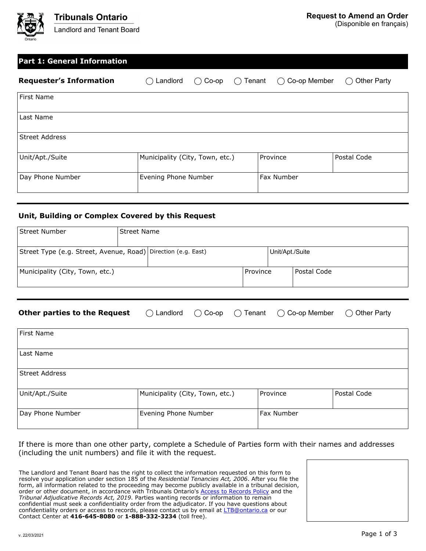

(Disponible en français)

| <b>Part 1: General Information</b> |                                 |                   |               |                     |                                 |
|------------------------------------|---------------------------------|-------------------|---------------|---------------------|---------------------------------|
| <b>Requester's Information</b>     | Landlord                        | $Co$ -op<br>$($ ) | Tenant<br>( ) | Co-op Member<br>( ) | <b>Other Party</b><br>$(\quad)$ |
| First Name                         |                                 |                   |               |                     |                                 |
| Last Name                          |                                 |                   |               |                     |                                 |
| <b>Street Address</b>              |                                 |                   |               |                     |                                 |
| Unit/Apt./Suite                    | Municipality (City, Town, etc.) |                   |               | Province            | Postal Code                     |
| Day Phone Number                   | Evening Phone Number            |                   |               | Fax Number          |                                 |
|                                    |                                 |                   |               |                     |                                 |

#### **Unit, Building or Complex Covered by this Request**

| Street Number                                                   | l Street Name |                 |            |  |             |  |
|-----------------------------------------------------------------|---------------|-----------------|------------|--|-------------|--|
| Street Type (e.g. Street, Avenue, Road)   Direction (e.g. East) |               | Unit/Apt./Suite |            |  |             |  |
| Municipality (City, Town, etc.)                                 |               |                 | l Province |  | Postal Code |  |

# **Other parties to the Request**  $\bigcirc$  Landlord  $\bigcirc$  Co-op  $\bigcirc$  Tenant  $\bigcirc$  Co-op Member  $\bigcirc$  Other Party

| First Name       |                                 |            |             |
|------------------|---------------------------------|------------|-------------|
| Last Name        |                                 |            |             |
| Street Address   |                                 |            |             |
| Unit/Apt./Suite  | Municipality (City, Town, etc.) | Province   | Postal Code |
| Day Phone Number | Evening Phone Number            | Fax Number |             |

If there is more than one other party, complete a Schedule of Parties form with their names and addresses (including the unit numbers) and file it with the request.

The Landlord and Tenant Board has the right to collect the information requested on this form to resolve your application under section 185 of the *Residential Tenancies Act, 2006*. After you file the form, all information related to the proceeding may become publicly available in a tribunal decision, order or other document, in accordance with Tribunals Ontario's [Access to Records Policy](https://tribunalsontario.ca/documents/sjto/A2I-Policy-en.html) and the *Tribunal Adjudicative Records Act, 2019*. Parties wanting records or information to remain confidential must seek a confidentiality order from the adjudicator. If you have questions about confidentiality orders or access to records, please contact us by email at [LTB@ontario.ca](mailto:LTB@ontario.ca) or our Contact Center at **416-645-8080** or **1-888-332-3234** (toll free).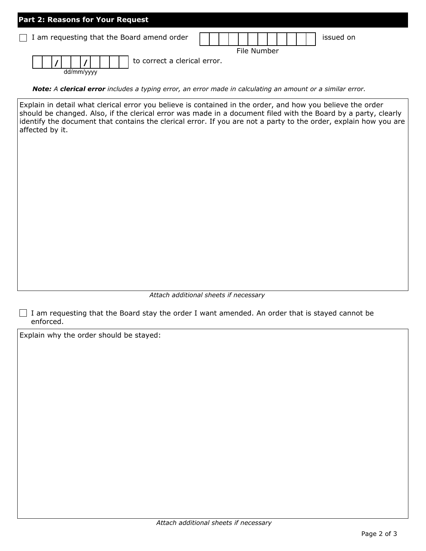| Part 2: Reasons for Your Request                  |             |  |
|---------------------------------------------------|-------------|--|
| $\Box$ I am requesting that the Board amend order | issued on   |  |
|                                                   | File Number |  |
| to correct a clerical error.<br>dd/mm/vvvv        |             |  |

*Note: A clerical error includes a typing error, an error made in calculating an amount or a similar error.*

Explain in detail what clerical error you believe is contained in the order, and how you believe the order should be changed. Also, if the clerical error was made in a document filed with the Board by a party, clearly identify the document that contains the clerical error. If you are not a party to the order, explain how you are affected by it.

*Attach additional sheets if necessary*

 $\Box$  I am requesting that the Board stay the order I want amended. An order that is stayed cannot be enforced.

Explain why the order should be stayed: